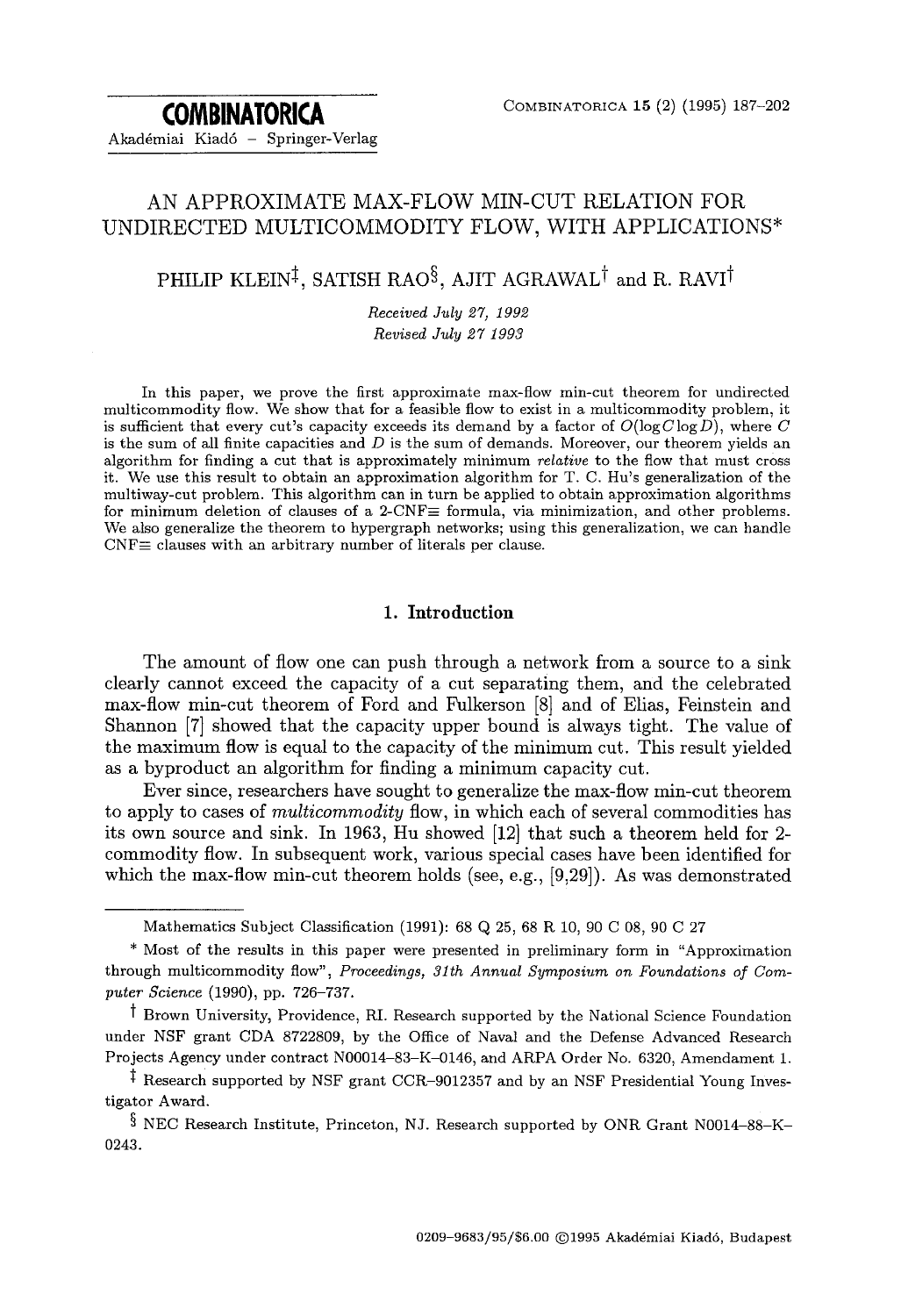**COMBINATORICA**  Akadémiai Kiadó - Springer-Verlag

## AN APPROXIMATE MAX-FLOW MIN-CUT RELATION FOR UNDIRECTED MULTICOMMODITY FLOW, WITH APPLICATIONS\*

# PHILIP KLEIN<sup>‡</sup>, SATISH RAO<sup>§</sup>, AJIT AGRAWAL<sup>†</sup> and R. RAVI<sup>†</sup>

*Received July 27, 1992 Revised July 27 1993* 

In this paper, we prove the first approximate max-flow min-cut theorem for undirected multicommodity flow. We show that for a feasible flow to exist in a multicommodity problem, it is sufficient that every cut's capacity exceeds its demand by a factor of  $O(\log C \log D)$ , where C is the sum of all finite capacities and  $D$  is the sum of demands. Moreover, our theorem yields an algorithm for finding a cut that is approximately minimum *relative* to the flow that must cross it. We use this result to obtain an approximation algorithm for T. C. Hu's generalization of the multiway-cut problem. This algorithm can in turn be applied to obtain approximation algorithms for minimum deletion of clauses of a 2-CNF $\equiv$  formula, via minimization, and other problems. We also generalize the theorem to hypergraph networks; using this generalization, we can handle  $CNF\equiv$  clauses with an arbitrary number of literals per clause.

## **1. Introduction**

The amount of flow one can push through a network from a source to a sink clearly cannot exceed the capacity of a cut separating them, and the celebrated max-flow min-cut theorem of Ford and Fulkerson [8] and of Elias, Feinstein and Shannon [7] showed that the capacity upper bound is always tight. The value of the maximum flow is equal to the capacity of the minimum cut. This result yielded as a byproduct an algorithm for finding a minimum capacity cut.

Ever since, researchers have sought to generalize the max-flow min-cut theorem to apply to cases of *multicommodity* flow, in which each of several commodities has its own source and sink. In 1963, Hu showed [12] that such a theorem held for 2 commodity flow. In subsequent work, various special cases have been identified for which the max-flow min-cut theorem holds (see, e.g., [9,29]). As was demonstrated

Mathematics Subject Classification (1991): 68 Q 25, 68 R 10, 90 C 08, 90 C 27

<sup>\*</sup> Most of the results in this paper were presented in preliminary form in "Approximation through multicommodity flow", *Proceedings, 31th Annual Symposium on Foundations of Computer Science* (1990), pp. 726-737.

t Brown University, Providence, RI. Research supported by the National Science Foundation under NSF grant CDA 8722809, by the Office of Naval and the Defense Advanced Research Projects Agency under contract N00014-83-K-0146, and ARPA Order No. 6320, Amendament 1.

<sup>&</sup>lt;sup> $\ddagger$ </sup> Research supported by NSF grant CCR-9012357 and by an NSF Presidential Young Investigator Award.

 $\S$  NEC Research Institute, Princeton, NJ. Research supported by ONR Grant N0014-88-K-0243.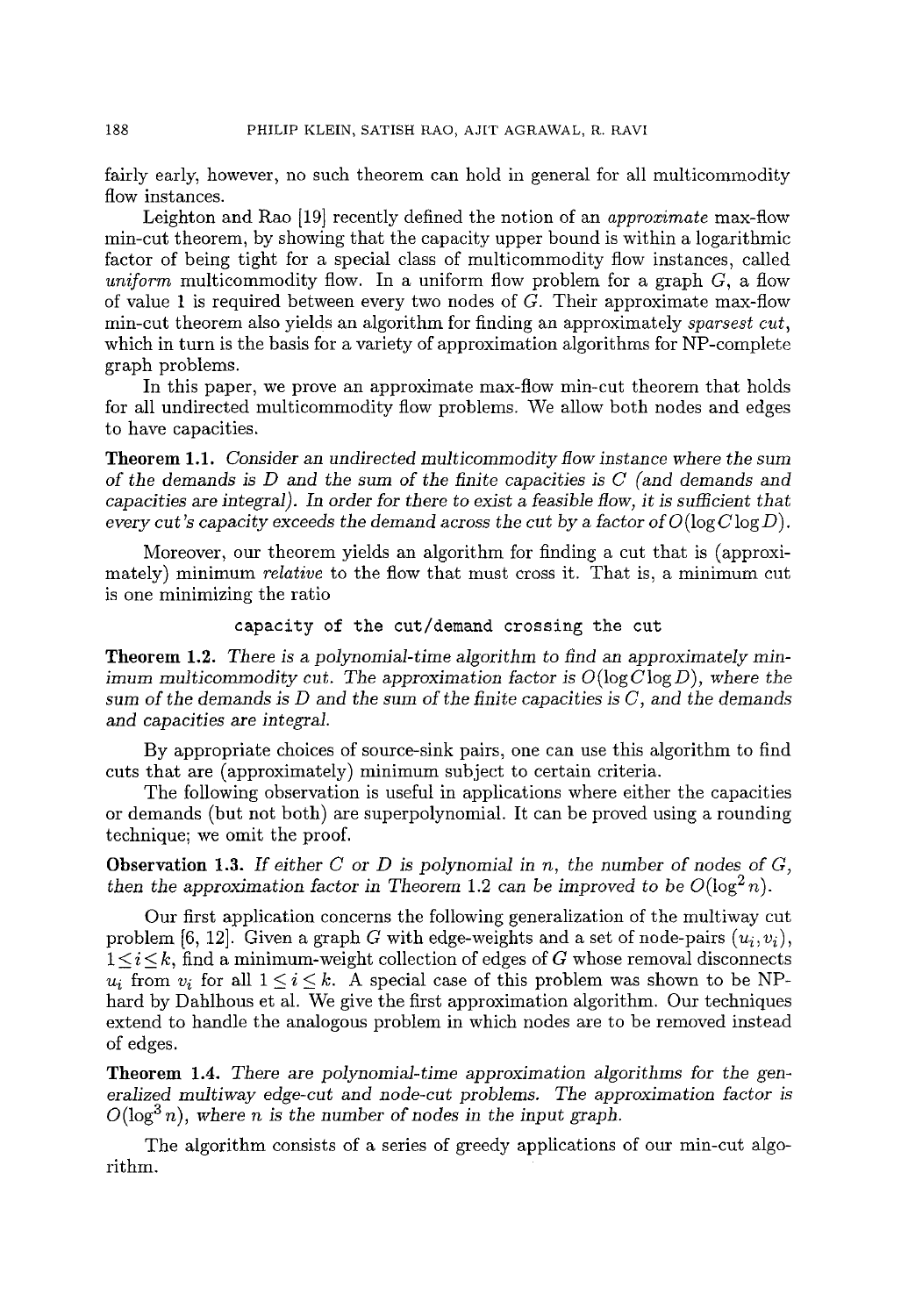fairly early, however, no such theorem can hold in general for all multicommodity flow instances.

Leighton and Rao [19] recently defined the notion of an *approximate* max-flow min-cut theorem, by showing that the capacity upper bound is within a logarithmic factor of being tight for a special class of multicommodity flow instances, called *uniform* multicommodity flow. In a uniform flow problem for a graph C, a flow of value 1 is required between every two nodes of  $G$ . Their approximate max-flow min-cut theorem also yields an algorithm for finding an approximately *sparsest cut,*  which in turn is the basis for a variety of approximation algorithms for NP-complete graph problems.

In this paper, we prove an approximate max-flow min-cut theorem that holds for all undirected multicommodity flow problems. We allow both nodes and edges to have capacities.

Theorem 1.1. *Consider an undirected multicommodity flow instance where the sum of the demands is D and the sum of the finite capacities is C (and demands and capacities are integral). In order for there to exist a feasible flow, it is sufficient that every cut's capacity exceeds the demand across the cut by a factor of*  $O(\log C \log D)$ *.* 

Moreover, our theorem yields an algorithm for finding a cut that is (approximately) minimum *relative* to the flow that must cross it. That is, a minimum cut is one minimizing the ratio

## capacity of the cut/demand crossing the cut

Theorem 1.2. *There is a polynomial-time algorithm to find an approximately minimum multicommodity cut. The approximation factor is*  $O(\log C \log D)$ *, where the sum* of the *demands is D and the sum* of *the finite capacities is C, and the demands and capacities* are *integral.* 

By appropriate choices of source-sink pairs, one can use this algorithm to find cuts that are (approximately) minimum subject to certain criteria.

The following observation is useful in applications where either the capacities or demands (but not both) are superpolynomial. It can be proved using a rounding technique; we omit the proof.

Observation 1.3. *If* either *C or D is polynomial in n, the* number *of nodes of C, then the approximation factor in Theorem 1.2 can be improved to be*  $O(\log^2 n)$ .

Our first application concerns the following generalization of the multiway cut problem [6, 12]. Given a graph G with edge-weights and a set of node-pairs  $(u_i, v_i)$ ,  $1 \leq i \leq k$ , find a minimum-weight collection of edges of G whose removal disconnects  $u_i$  from  $v_i$  for all  $1 \leq i \leq k$ . A special case of this problem was shown to be NPhard by Dahlhous et al. We give the first approximation algorithm. Our techniques extend to handle the analogous problem in which nodes are to be removed instead of edges.

Theorem 1.4. *There are polynomial-time approximation algorithms for* the gen*eralized multiway edge-cut and node-cut problems. The approximation factor is*   $O(\log^3 n)$ , where *n* is the number of nodes in the input graph.

The algorithm consists of a series of greedy applications of our min-cut algorithm.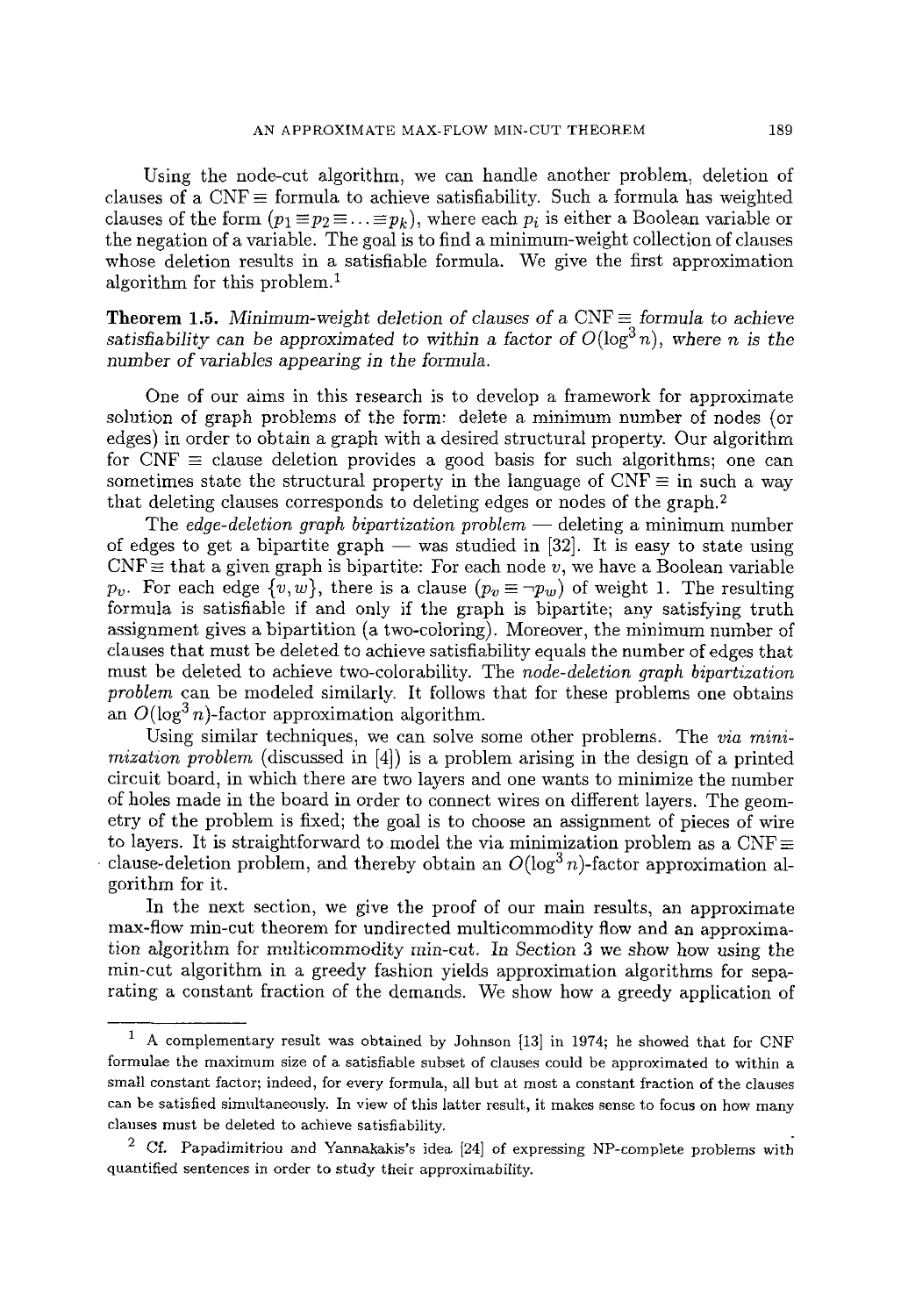Using the node-cut algorithm, we can handle another problem, deletion of clauses of a CNF  $\equiv$  formula to achieve satisfiability. Such a formula has weighted clauses of the form  $(p_1 \equiv p_2 \equiv \ldots \equiv p_k)$ , where each  $p_i$  is either a Boolean variable or the negation of a variable. The goal is to find a minimum-weight collection of clauses whose deletion results in a satisfiable formula. We give the first approximation algorithm for this problem. 1

**Theorem 1.5.** Minimum-weight deletion of clauses of a  $CNF \equiv$  *formula to achieve satisfiability can be approximated to within a factor of*  $O(log^3 n)$ *, where n is the number of variables appearing in the formula.* 

One of our aims in this research is to develop a framework for approximate solution of graph problems of the form: delete a minimum number of nodes (or edges) in order to obtain a graph with a desired structural property. Our algorithm for  $CNF \equiv$  clause deletion provides a good basis for such algorithms; one can sometimes state the structural property in the language of  $CNF \equiv$  in such a way that deleting clauses corresponds to deleting edges or nodes of the graph. 2

The *edge-deletion graph bipartization problem* — deleting a minimum number of edges to get a bipartite graph  $-$  was studied in [32]. It is easy to state using  $CNF\equiv$  that a given graph is bipartite: For each node v, we have a Boolean variable *Pv.* For each edge  $\{v, w\}$ , there is a clause  $(p_v \equiv \neg p_w)$  of weight 1. The resulting formula is satisfiable if and only if the graph is bipartite; any satisfying truth assignment gives a bipartition (a two-coloring). Moreover, the minimum number of clauses that must be deleted to achieve satisfiability equals the number of edges that must be deleted to achieve two-colorability. The *node-deletion graph bipartization problem* can be modeled similarly. It follows that for these problems one obtains an  $O(\log^3 n)$ -factor approximation algorithm.

Using similar techniques, we can solve some other problems. The *via minimization problem* (discussed in [4]) is a problem arising in the design of a printed circuit board, in which there are two layers and one wants to minimize the number of holes made in the board in order to connect wires on different layers. The geometry of the problem is fixed; the goal is to choose an assignment of pieces of wire to layers. It is straightforward to model the via minimization problem as a CNF clause-deletion problem, and thereby obtain an  $O(\log^3 n)$ -factor approximation algorithm for it.

In the next section, we give the proof of our main results, an approximate max-flow min-cut theorem for undirected multicommodity flow and an approximation algorithm for multicommodity rain-cut. In Section 3 we show how using the min-cut algorithm in a greedy fashion yields approximation algorithms for separating a constant fraction of the demands. We show how a greedy application of

<sup>1</sup> A complementary result was obtained by Johnson [13] in 1974; he showed that for CNF formulae the maximum size of a satisfiable subset of clauses could be approximated to within a small constant factor; indeed, for every formula, all but at most a constant fraction of the clauses can be satisfied simultaneously. In view of this latter result, it makes sense to focus on how many clauses must be deleted to achieve satisfiability.

*<sup>2</sup> CL* Papadimitriou and Yannakakis's idea [24] of expressing NP-complete problems witb quantified sentences in order to study their approximability.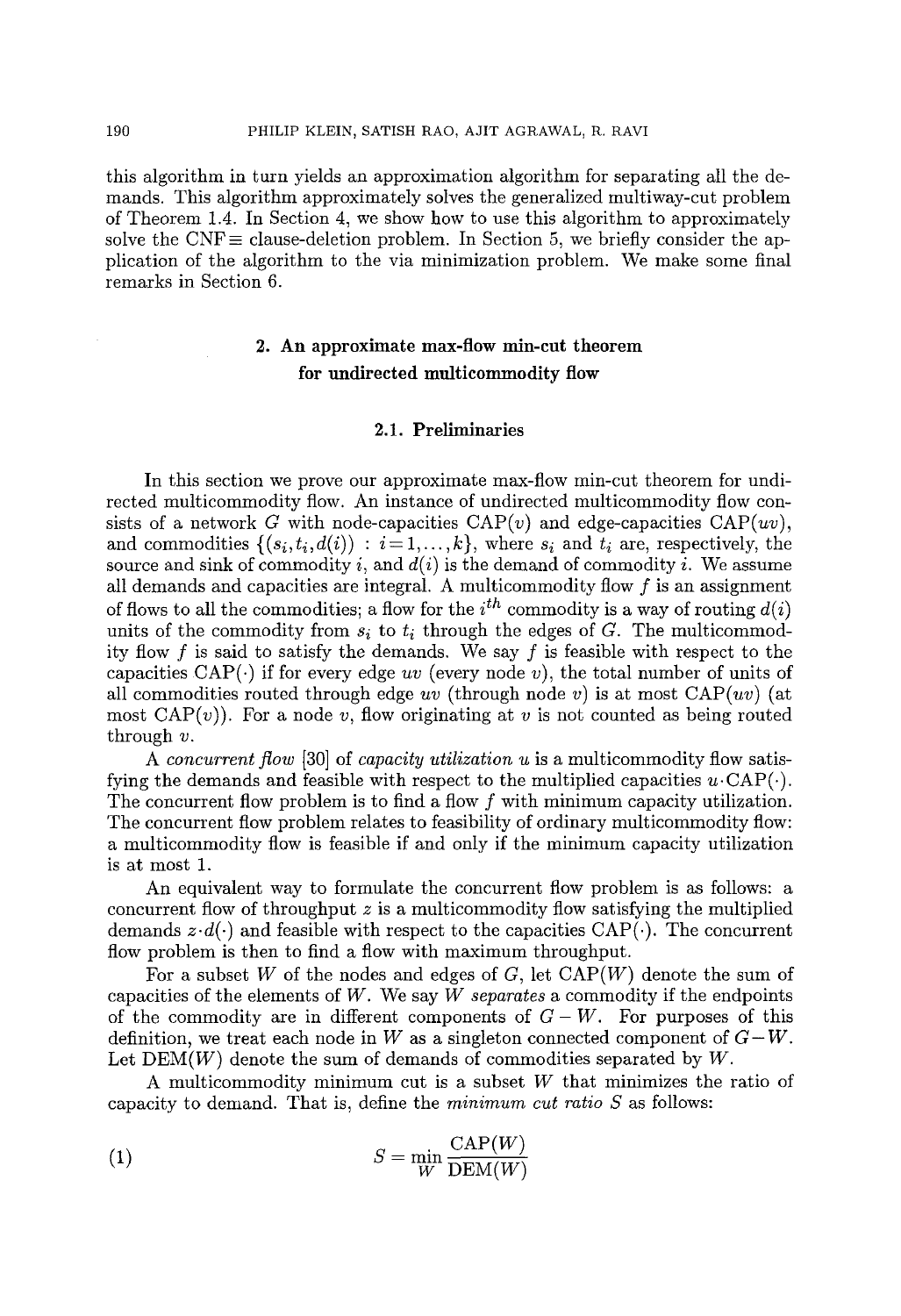this algorithm in turn yields an approximation algorithm for separating all the demands. This algorithm approximately solves the generalized multiway-cut problem of Theorem 1.4. In Section 4, we show how to use this algorithm to approximately solve the CNF $\equiv$  clause-deletion problem. In Section 5, we briefly consider the application of the algorithm to the via minimization problem. We make some final remarks in Section 6.

# 2. An approximate max-flow min-cut theorem for undirected multicommodity flow

## 2.1. Preliminaries

In this section we prove our approximate max-flow min-cut theorem for undirected multicommodity flow. An instance of undirected multicommodity flow consists of a network G with node-capacities  $\text{CAP}(v)$  and edge-capacities  $\text{CAP}(uv)$ , and commodities  $\{(s_i,t_i,d(i)) : i=1,\ldots,k\}$ , where  $s_i$  and  $t_i$  are, respectively, the source and sink of commodity i, and  $d(i)$  is the demand of commodity i. We assume all demands and capacities are integral. A multicommodity flow  $f$  is an assignment of flows to all the commodities; a flow for the  $i^{th}$  commodity is a way of routing  $d(i)$ units of the commodity from  $s_i$  to  $t_i$  through the edges of  $G$ . The multicommodity flow f is said to satisfy the demands. We say f is feasible with respect to the capacities  $CAP(\cdot)$  if for every edge *uv* (every node *v*), the total number of units of all commodities routed through edge  $uv$  (through node v) is at most  $CAP(uv)$  (at most  $CAP(v)$ . For a node v, flow originating at v is not counted as being routed through  $v$ .

*A concurrent flow* [30] of *capacity utilization u* is a multicommodity flow satisfying the demands and feasible with respect to the multiplied capacities  $u \cdot \text{CAP}(\cdot)$ . The concurrent flow problem is to find a flow  $f$  with minimum capacity utilization. The concurrent flow problem relates to feasibility of ordinary multicommodity flow: a multicommodity flow is feasible if and only if the minimum capacity utilization is at most 1.

An equivalent way to formulate the concurrent flow problem is as follows: a concurrent flow of throughput  $z$  is a multicommodity flow satisfying the multiplied demands  $z \cdot d(.)$  and feasible with respect to the capacities  $CAP(.)$ . The concurrent flow problem is then to find a flow with maximum throughput.

For a subset W of the nodes and edges of G, let  $\text{CAP}(W)$  denote the sum of capacities of the elements of W. We say *W separates* a commodity if the endpoints of the commodity are in different components of  $G-W$ . For purposes of this definition, we treat each node in W as a singleton connected component of  $G-W$ . Let  $DEM(W)$  denote the sum of demands of commodities separated by  $W$ .

A multicommodity minimum cut is a subset  $W$  that minimizes the ratio of capacity to demand. That is, define the *minimum cut ratio S* as follows:

$$
S = \min_{W} \frac{\text{CAP}(W)}{\text{DEM}(W)}
$$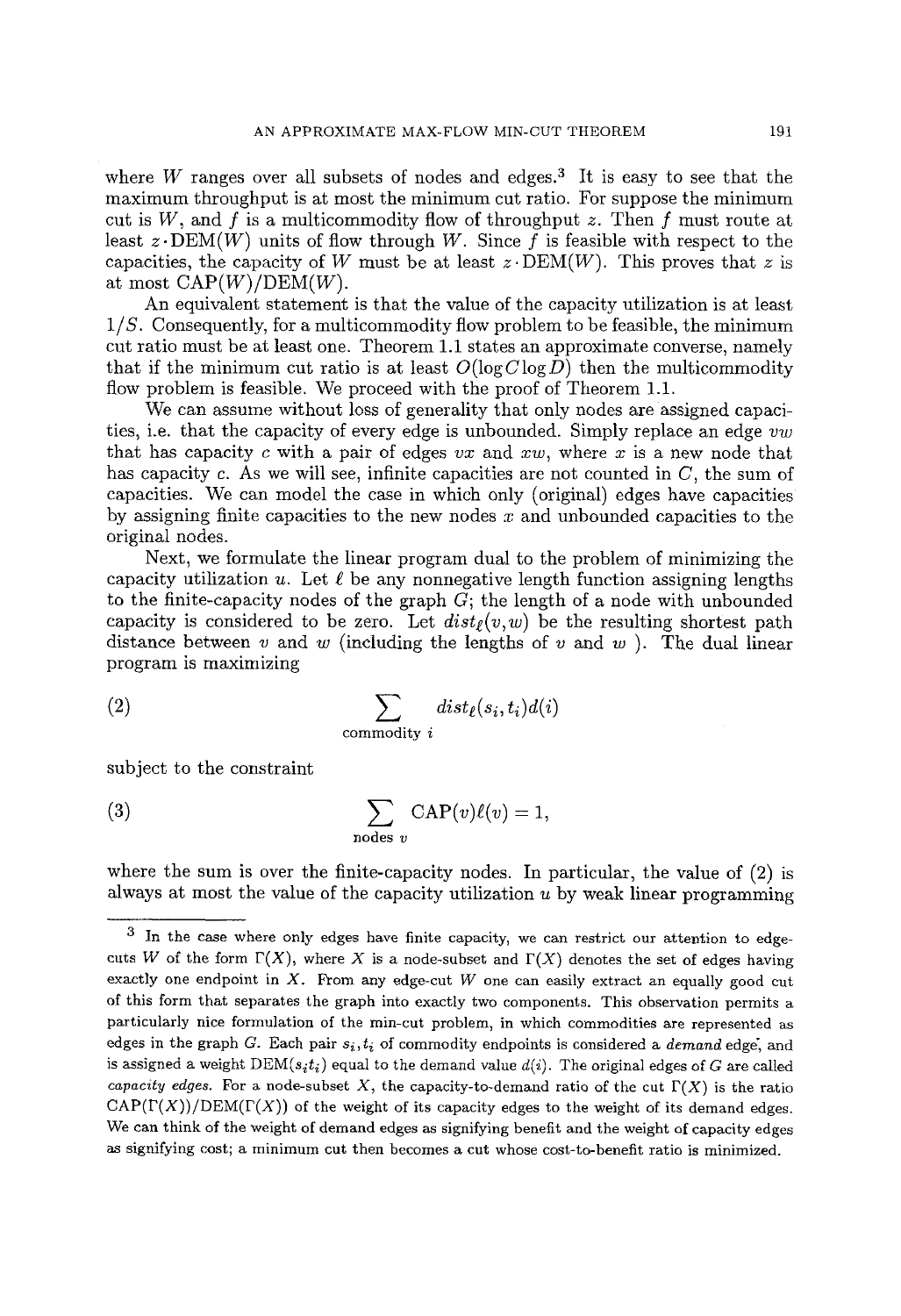where W ranges over all subsets of nodes and edges.<sup>3</sup> It is easy to see that the maximum throughput is at most the minimum cut ratio. For suppose the minimum cut is  $W$ , and  $f$  is a multicommodity flow of throughput  $z$ . Then  $f$  must route at least  $z \cdot DEM(W)$  units of flow through W. Since f is feasible with respect to the capacities, the capacity of W must be at least  $z \cdot DEM(W)$ . This proves that z is at most  $CAP(W)/DEM(W)$ .

An equivalent statement is that the value of the capacity utilization is at least *1/S.* Consequently, for a multicommodity flow problem to be feasible, the minimum cut ratio must be at least one. Theorem 1.1 states an approximate converse, namely that if the minimum cut ratio is at least  $O(\log C \log D)$  then the multicommodity flow problem is feasible. We proceed with the proof of Theorem 1.1.

We can assume without loss of generality that only nodes are assigned capacities, i.e. that the capacity of every edge is unbounded. Simply replace an edge *vw*  that has capacity  $c$  with a pair of edges  $vx$  and  $xw$ , where  $x$  is a new node that has capacity c. As we will see, infinite capacities are not counted in  $C$ , the sum of capacities. We can model the case in which only (original) edges have capacities by assigning finite capacities to the new nodes  $x$  and unbounded capacities to the original nodes.

Next, we formulate the linear program dual to the problem of minimizing the capacity utilization u. Let  $\ell$  be any nonnegative length function assigning lengths to the finite-capacity nodes of the graph  $G$ ; the length of a node with unbounded capacity is considered to be zero. Let  $dist_{\ell}(v,w)$  be the resulting shortest path distance between v and w (including the lengths of v and w). The dual linear program is maximizing

(2) 
$$
\sum_{\text{commonity } i} dist_{\ell}(s_i, t_i) d(i)
$$

subject to the constraint

(3) 
$$
\sum_{\text{nodes } v} \text{CAP}(v)\ell(v) = 1,
$$

where the sum is over the finite-capacity nodes. In particular, the value of  $(2)$  is always at most the value of the capacity utilization  $u$  by weak linear programming

<sup>3</sup> In the case where only edges have finite capacity, we can restrict our attention to edgecuts W of the form  $\Gamma(X)$ , where X is a node-subset and  $\Gamma(X)$  denotes the set of edges having exactly one endpoint in  $X$ . From any edge-cut W one can easily extract an equally good cut of this form that separates the graph into exactly two components. This observation permits a particularly nice formulation of the min-cut problem, in which commodities are represented as edges in the graph  $G$ . Each pair  $s_i, t_i$  of commodity endpoints is considered a *demand* edge, and is assigned a weight  $DEM(s_it_i)$  equal to the demand value  $d(i)$ . The original edges of G are called *capacity edges.* For a node-subset X, the capacity-to-demand ratio of the cut  $\Gamma(X)$  is the ratio  $CAP(\Gamma(X))/DEM(\Gamma(X))$  of the weight of its capacity edges to the weight of its demand edges. We can think of the weight of demand edges as signifying benefit and the weight of capacity edges as signifying cost; a minimum cut then becomes a cut whose cost-to-benefit ratio is minimized.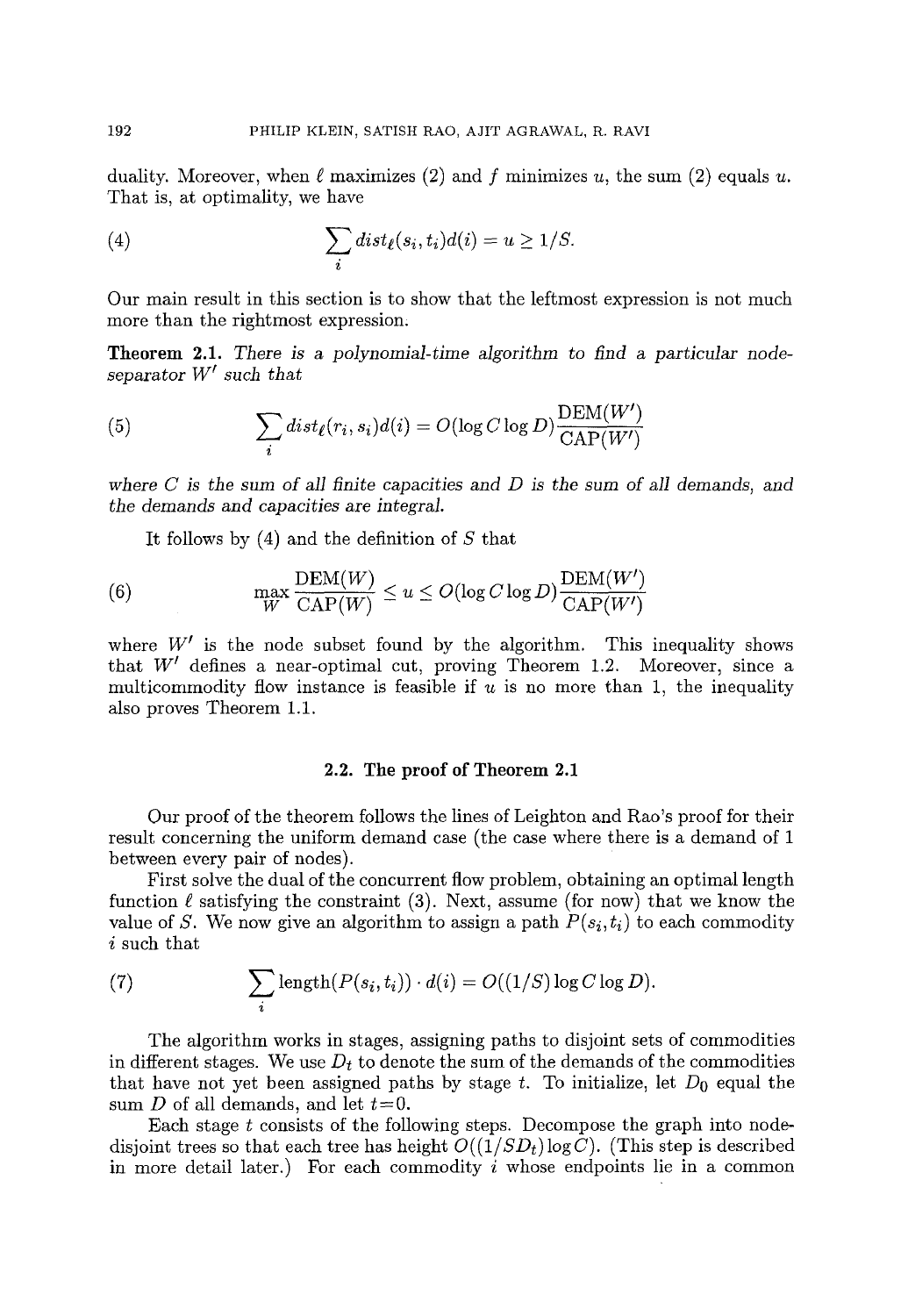duality. Moreover, when  $\ell$  maximizes (2) and f minimizes u, the sum (2) equals u. That is, at optimality, we have

(4) 
$$
\sum_{i} dist_{\ell}(s_i, t_i) d(i) = u \geq 1/S.
$$

Our main result in this section is to show that the leftmost expression is not much more than the rightmost expression.

Theorem 2.1. *There is a polynomial-time algorithm to find a particular nodeseparator*  $W'$  *such that* 

(5) 
$$
\sum_{i} dist_{\ell}(r_i, s_i) d(i) = O(\log C \log D) \frac{\text{DEM}(W')}{\text{CAP}(W')}
$$

*where C is the sum of all finite capacities* and *D is the* sum *of all demands, and the* demands *and capacities* are *integral.* 

It follows by  $(4)$  and the definition of S that

(6) 
$$
\max_{W} \frac{\text{DEM}(W)}{\text{CAP}(W)} \le u \le O(\log C \log D) \frac{\text{DEM}(W')}{\text{CAP}(W')}
$$

where  $W'$  is the node subset found by the algorithm. This inequality shows that  $W'$  defines a near-optimal cut, proving Theorem 1.2. Moreover, since a multicommodity flow instance is feasible if  $u$  is no more than 1, the inequality also proves Theorem 1.1.

## 2.2. The proof of Theorem 2.1

Our proof of the theorem follows the lines of Leighton and Rao's proof for their result concerning the uniform demand case (the case where there is a demand of 1 between every pair of nodes).

First solve the dual of the concurrent flow problem, obtaining an optimal length function  $\ell$  satisfying the constraint (3). Next, assume (for now) that we know the value of S. We now give an algorithm to assign a path  $P(s_i,t_i)$  to each commodity i such that

(7) 
$$
\sum_{i} \text{length}(P(s_i, t_i)) \cdot d(i) = O((1/S) \log C \log D).
$$

The algorithm works in stages, assigning paths to disjoint sets of commodities in different stages. We use  $D_t$  to denote the sum of the demands of the commodities that have not yet been assigned paths by stage t. To initialize, let  $D_0$  equal the sum D of all demands, and let  $t=0$ .

Each stage  $t$  consists of the following steps. Decompose the graph into nodedisjoint trees so that each tree has height  $O((1/SD<sub>t</sub>)\log C)$ . (This step is described in more detail later.) For each commodity  $i$  whose endpoints lie in a common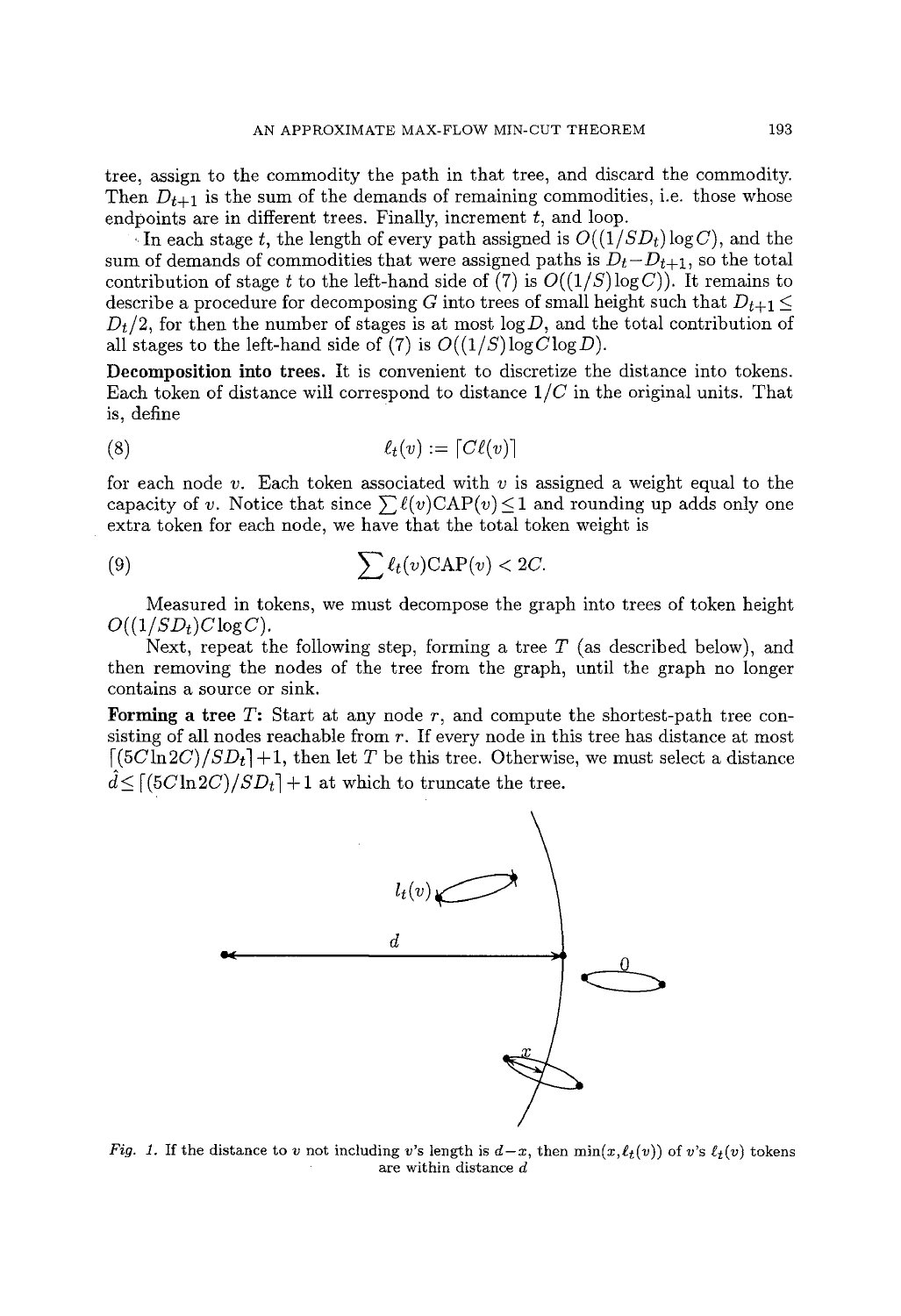tree, assign to the commodity the path in that tree, and discard the commodity. Then  $D_{t+1}$  is the sum of the demands of remaining commodities, i.e. those whose endpoints are in different trees. Finally, increment  $t$ , and loop.

In each stage t, the length of every path assigned is  $O((1/SD_t) \log C)$ , and the sum of demands of commodities that were assigned paths is  $D_t - D_{t+1}$ , so the total contribution of stage t to the left-hand side of (7) is  $O((1/S)\log C)$ ). It remains to describe a procedure for decomposing G into trees of small height such that  $D_{t+1} \leq$  $D_t/2$ , for then the number of stages is at most  $log D$ , and the total contribution of all stages to the left-hand side of (7) is  $O((1/S)\log C \log D)$ .

Decomposition into trees. It is convenient to discretize the distance into tokens. Each token of distance will correspond to distance *1/C* in the original units. That is, define

$$
\ell_t(v) := [C\ell(v)]
$$

for each node v. Each token associated with v is assigned a weight equal to the capacity of v. Notice that since  $\sum \ell(v) \text{CAP}(v) \leq 1$  and rounding up adds only one extra token for each node, we have that the total token weight is

(9) 
$$
\sum \ell_t(v) \text{CAP}(v) < 2C.
$$

Measured in tokens, we must decompose the graph into trees of token height  $O((1/SD_t)C \log C)$ .

Next, repeat the following step, forming a tree  $T$  (as described below), and then removing the nodes of the tree from the graph, until the graph no longer contains a source or sink.

Forming a tree  $T$ : Start at any node  $r$ , and compute the shortest-path tree consisting of all nodes reachable from r. If every node in this tree has distance at most  $(5C\ln 2C)/SD_t$  +1, then let T be this tree. Otherwise, we must select a distance  $d<$  [(5*Cln2C)/SDt*] + 1 at which to truncate the tree.



*Fig. 1.* If the distance to v not including v's length is  $d-x$ , then  $\min(x,\ell_t(v))$  of v's  $\ell_t(v)$  tokens are within distance d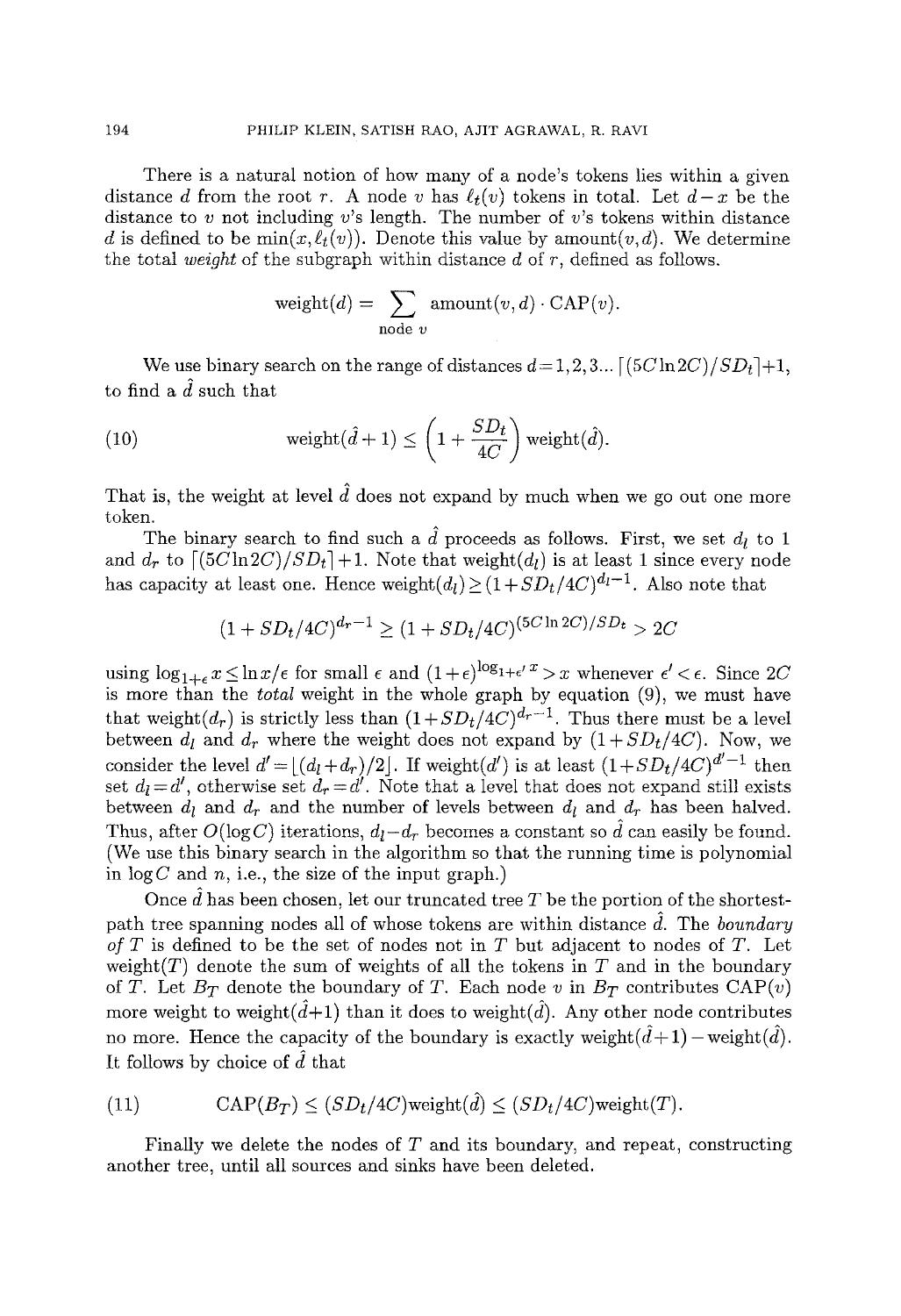There is a natural notion of how many of a node's tokens lies within a given distance d from the root r. A node v has  $\ell_t(v)$  tokens in total. Let  $d-x$  be the distance to v not including v's length. The number of v's tokens within distance d is defined to be  $\min(x,\ell_t(v))$ . Denote this value by amount $(v,d)$ . We determine the total *weight* of the subgraph within distance  $d$  of  $r$ , defined as follows.

$$
weight(d) = \sum_{\text{node } v} \text{amount}(v, d) \cdot \text{CAP}(v).
$$

We use binary search on the range of distances  $d=1,2,3...$  [(5C ln 2C)/SDt]+1, to find a  $\hat{d}$  such that

(10) weight
$$
(\hat{d}+1) \leq \left(1 + \frac{SD_t}{4C}\right)
$$
 weight $(\hat{d})$ .

That is, the weight at level  $\hat{d}$  does not expand by much when we go out one more token.

The binary search to find such a  $\hat{d}$  proceeds as follows. First, we set  $d_l$  to 1 and  $d_r$  to  $[(5C\ln 2C)/SD_t]+1$ . Note that weight( $d_l$ ) is at least 1 since every node has capacity at least one. Hence weight $(d_l) \geq (1 + SD_t/4C)^{d_l-1}$ . Also note that

$$
(1+SD_t/4C)^{d_r-1} \ge (1+SD_t/4C)^{(5C\ln 2C)/SD_t} > 2C
$$

using  $\log_{1+\epsilon} x \leq \ln x/\epsilon$  for small  $\epsilon$  and  $(1+\epsilon)^{\log_{1+\epsilon} x} > x$  whenever  $\epsilon' < \epsilon$ . Since 2C is more than the *total* weight in the whole graph by equation (9), we must have that weight( $d_r$ ) is strictly less than  $(1+SD_t/4C)^{d_r-1}$ . Thus there must be a level between  $d_l$  and  $d_r$  where the weight does not expand by  $(1+SD_t/4C)$ . Now, we consider the level  $d' = \lfloor (d_l+d_r)/2 \rfloor$ . If weight(d') is at least  $(1+SD_t/4C)^{d'-1}$  then set  $d_l = d'$ , otherwise set  $d_r = d'$ . Note that a level that does not expand still exists between  $d_l$  and  $d_r$  and the number of levels between  $d_l$  and  $d_r$  has been halved. Thus, after  $O(\log C)$  iterations,  $d_l - d_r$  becomes a constant so d can easily be found. (We use this binary search in the algorithm so that the running time is polynomial in  $log C$  and n, i.e., the size of the input graph.)

Once  $\tilde{d}$  has been chosen, let our truncated tree T be the portion of the shortestpath tree spanning nodes all of whose tokens are within distance  $\tilde{d}$ . The *boundary of T* is defined to be the set of nodes not in T but adjacent to nodes of T. Let weight(T) denote the sum of weights of all the tokens in T and in the boundary of T. Let  $B_T$  denote the boundary of T. Each node v in  $B_T$  contributes  $\text{CAP}(v)$ more weight to weight $(d+1)$  than it does to weight $(d)$ . Any other node contributes no more. Hence the capacity of the boundary is exactly weight $(\hat{d}+1)$  - weight $(\hat{d})$ . It follows by choice of  $\tilde{d}$  that

(11) 
$$
CAP(B_T) \leq (SD_t/4C) \text{weight}(\hat{d}) \leq (SD_t/4C) \text{weight}(T).
$$

Finally we delete the nodes of  $T$  and its boundary, and repeat, constructing another tree, until all sources and sinks have been deleted.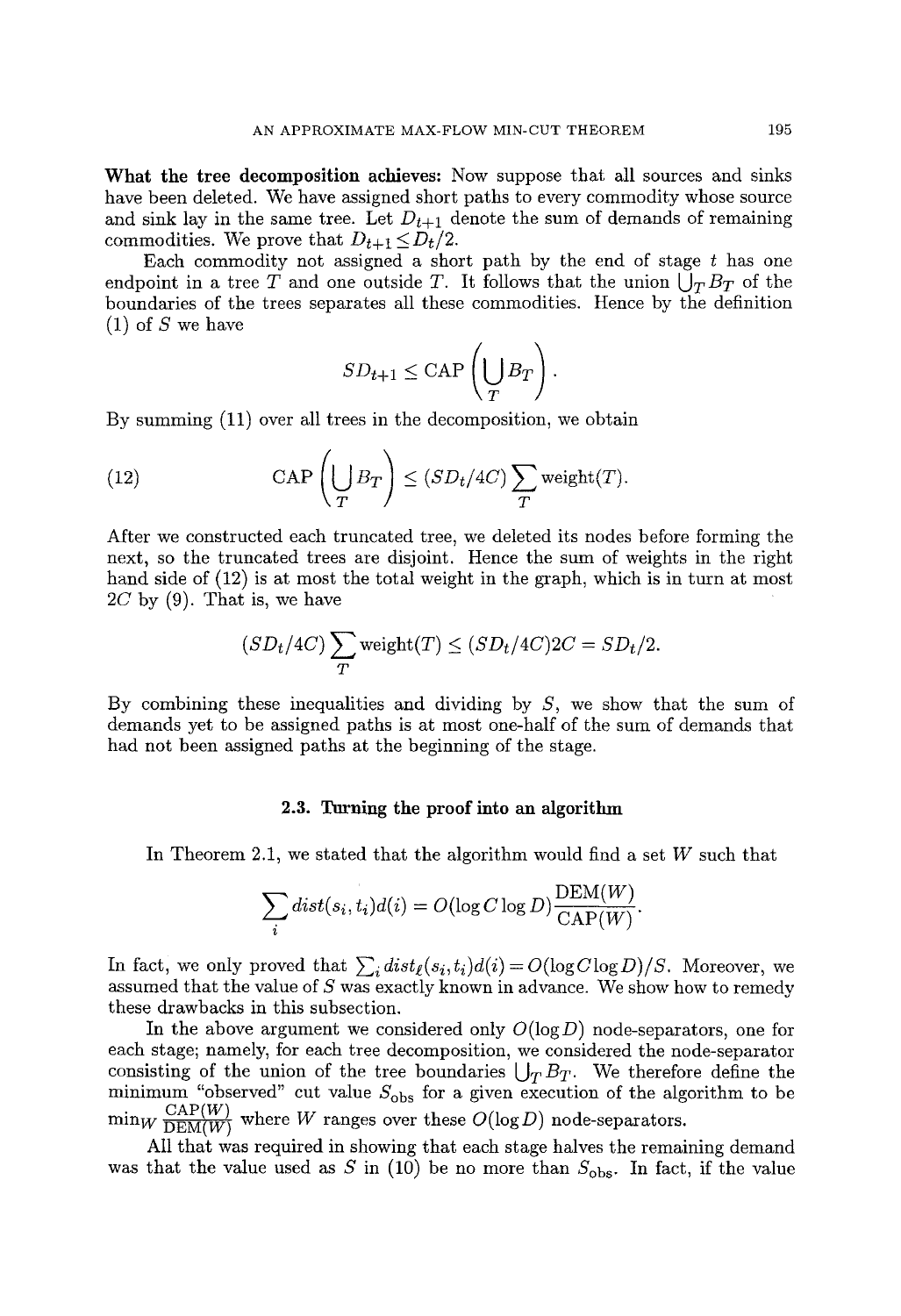What the tree decomposition achieves: Now suppose that all sources and sinks have been deleted. We have assigned short paths to every commodity whose source and sink lay in the same tree. Let  $D_{t+1}$  denote the sum of demands of remaining commodities. We prove that  $D_{t+1} \leq D_t/2$ .

Each commodity not assigned a short path by the end of stage  $t$  has one endpoint in a tree T and one outside T. It follows that the union  $\bigcup_{T} B_T$  of the boundaries of the trees separates all these commodities. Hence by the definition  $(1)$  of S we have

$$
SD_{t+1} \leq \text{CAP}\left(\bigcup_{T} B_{T}\right)
$$

By summing (11) over all trees in the decomposition, we obtain

(12) 
$$
\text{CAP}\left(\bigcup_{T} B_{T}\right) \leq (SD_{t}/4C) \sum_{T} \text{weight}(T).
$$

After we constructed each truncated tree, we deleted its nodes before forming the next, so the truncated trees are disjoint. Hence the sum of weights in the right hand side of  $(12)$  is at most the total weight in the graph, which is in turn at most  $2C$  by (9). That is, we have

$$
(SDt/4C) \sum_{T} weight(T) \le (SDt/4C)2C = SDt/2.
$$

By combining these inequalities and dividing by  $S$ , we show that the sum of demands yet to be assigned paths is at most one-half of the sum of demands that had not been assigned paths at the beginning of the stage.

### 2.3. Turning the proof into an algorithm

In Theorem 2.1, we stated that the algorithm would find a set  $W$  such that

$$
\sum_{i} dist(s_i, t_i) d(i) = O(\log C \log D) \frac{\mathrm{DEM}(W)}{\mathrm{CAP}(W)}.
$$

In fact, we only proved that  $\sum_i dist_\ell(s_i,t_i) d(i) = O(\log C \log D)/S$ . Moreover, we assumed that the value of  $S$  was exactly known in advance. We show how to remedy these drawbacks in this subsection.

In the above argument we considered only  $O(\log D)$  node-separators, one for each stage; namely, for each tree decomposition, we considered the node-separator consisting of the union of the tree boundaries  $\bigcup_T B_T$ . We therefore define the minimum "observed" cut value  $S_{\rm obs}$  for a given execution of the algorithm to be  $\min_W \frac{\text{CAP}(W)}{\text{DEM}(W)}$  where W ranges over these  $O(\log D)$  node-separators.

All that was required in showing that each stage halves the remaining demand was that the value used as S in (10) be no more than  $S_{\text{obs}}$ . In fact, if the value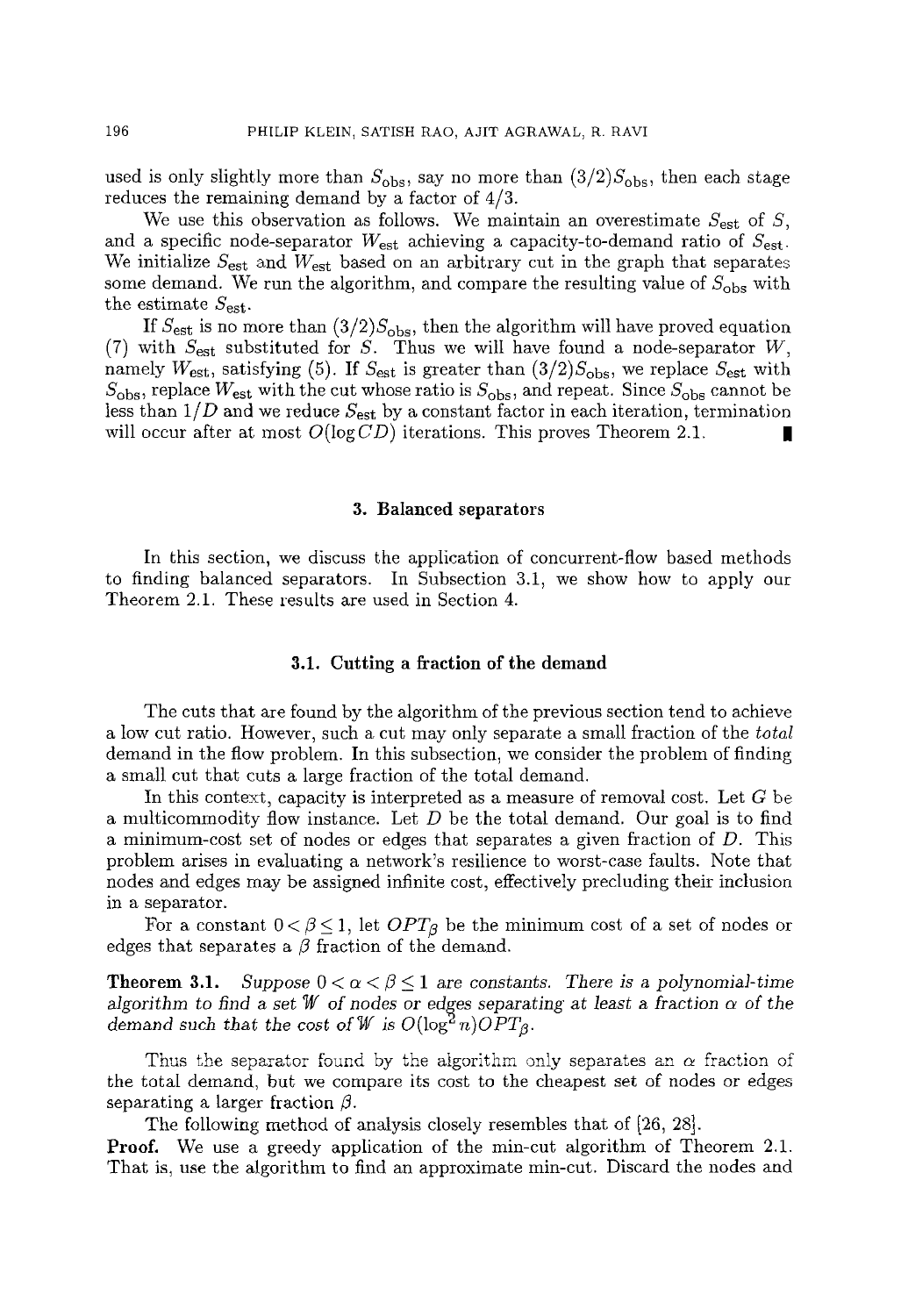used is only slightly more than  $S_{\text{obs}}$ , say no more than  $(3/2)S_{\text{obs}}$ , then each stage reduces the remaining demand by a factor of 4/3.

We use this observation as follows. We maintain an overestimate  $S_{est}$  of S, and a specific node-separator  $W_{est}$  achieving a capacity-to-demand ratio of  $S_{est}$ . We initialize  $S_{est}$  and  $W_{est}$  based on an arbitrary cut in the graph that separates some demand. We run the algorithm, and compare the resulting value of  $S_{\rm obs}$  with the estimate  $S_{est}$ .

If  $S_{\text{est}}$  is no more than  $(3/2)S_{\text{obs}}$ , then the algorithm will have proved equation (7) with  $S_{est}$  substituted for S. Thus we will have found a node-separator W, namely  $W_{est}$ , satisfying (5). If  $S_{est}$  is greater than  $(3/2)S_{obs}$ , we replace  $S_{est}$  with  $S_{\text{obs}}$ , replace  $W_{\text{est}}$  with the cut whose ratio is  $S_{\text{obs}}$ , and repeat. Since  $S_{\text{obs}}$  cannot be less than  $1/D$  and we reduce  $S_{\text{est}}$  by a constant factor in each iteration, termination will occur after at most  $O(\log CD)$  iterations. This proves Theorem 2.1.

#### **3. Balanced separators**

In this section, we discuss the application of concurrent-flow based methods to finding balanced separators. In Subsection 3.1, we show how to apply our Theorem 2.1. These results are used in Section 4.

#### **3.1. Cutting a fraction of the demand**

The cuts that are found by the algorithm of the previous section tend to achieve a low cut ratio. However, such a cut may only separate a small fraction of the *total*  demand in the flow problem. In this subsection, we consider the problem of finding a small cut that cuts a large fraction of the total demand.

In this context, capacity is interpreted as a measure of removal cost. Let  $G$  be a multicommodity flow instance. Let  $D$  be the total demand. Our goal is to find a minimum-cost set of nodes or edges that separates a given fraction of D. This problem arises in evaluating a network's resilience to worst-case faults. Note that nodes and edges may be assigned infinite cost, effectively precluding their inclusion in a separator.

For a constant  $0 < \beta \leq 1$ , let  $OPT_{\beta}$  be the minimum cost of a set of nodes or edges that separates a  $\beta$  fraction of the demand.

**Theorem 3.1.** Suppose  $0 < \alpha < \beta \leq 1$  are constants. There is a polynomial-time *algorithm to find a set W of nodes or edges separating at least a fraction*  $\alpha$  *of the demand such that the cost of W* is  $O(\log^2 n)$ *OPT*<sub>*g*</sub>.

Thus the separator found by the algorithm only separates an  $\alpha$  fraction of the total demand, but we compare its cost to the cheapest set of nodes or edges separating a larger fraction  $\beta$ .

The following method of analysis closely resembles that of [26, 28].

Proof. We use a greedy application of the min-cut algorithm of Theorem 2.1. That is, use the algorithm to find an approximate min-cut. Discard the nodes and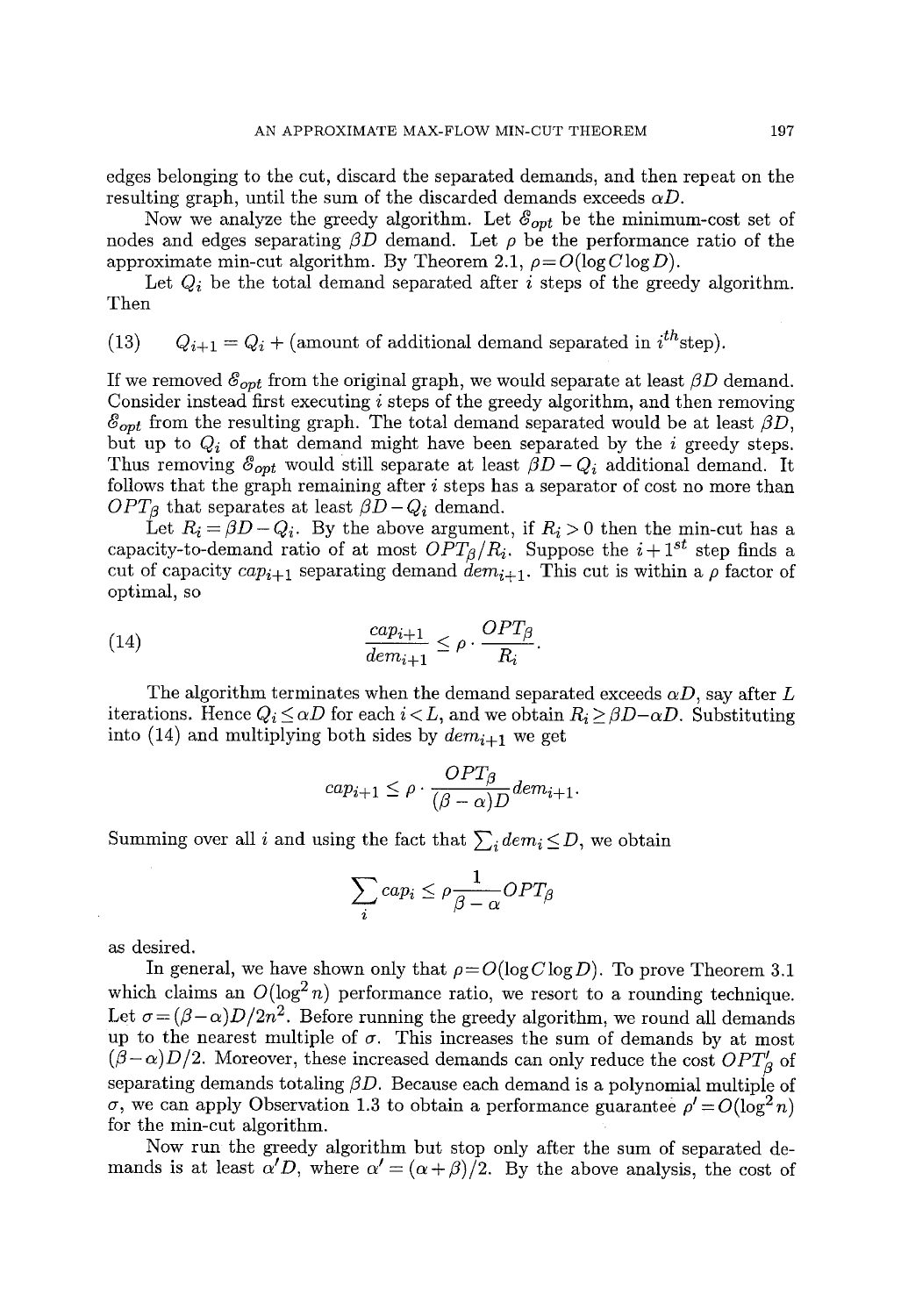edges belonging to the cut, discard the separated demands, and then repeat on the resulting graph, until the sum of the discarded demands exceeds  $\alpha D$ .

Now we analyze the greedy algorithm. Let  $\mathcal{E}_{opt}$  be the minimum-cost set of nodes and edges separating  $\beta D$  demand. Let  $\rho$  be the performance ratio of the approximate min-cut algorithm. By Theorem 2.1,  $\rho = O(\log C \log D)$ .

Let  $Q_i$  be the total demand separated after i steps of the greedy algorithm. Then

(13)  $Q_{i+1} = Q_i + ($ amount of additional demand separated in  $i^{th}$ step).

If we removed  $\mathcal{E}_{opt}$  from the original graph, we would separate at least  $\beta D$  demand. Consider instead first executing i steps of the greedy algorithm, and then removing  $\mathcal{E}_{opt}$  from the resulting graph. The total demand separated would be at least  $\beta D$ , but up to  $Q_i$  of that demand might have been separated by the  $i$  greedy steps. Thus removing  $\mathcal{E}_{opt}$  would still separate at least  $\beta D - Q_i$  additional demand. It follows that the graph remaining after  $i$  steps has a separator of cost no more than  $OPT_{\beta}$  that separates at least  $\beta D - Q_i$  demand.

Let  $R_i = \beta D - Q_i$ . By the above argument, if  $R_i > 0$  then the min-cut has a capacity-to-demand ratio of at most  $OPT_{\beta}/R_i$ . Suppose the  $i+1^{st}$  step finds a cut of capacity  $cap_{i+1}$  separating demand  $\tilde{dem}_{i+1}$ . This cut is within a  $\rho$  factor of optimal, so

(14) 
$$
\frac{cap_{i+1}}{dem_{i+1}} \leq \rho \cdot \frac{OPT_{\beta}}{R_i}.
$$

The algorithm terminates when the demand separated exceeds  $\alpha D$ , say after L iterations. Hence  $Q_i \leq \alpha D$  for each  $i < L$ , and we obtain  $R_i \geq \beta D - \alpha D$ . Substituting into (14) and multiplying both sides by  $dem_{i+1}$  we get

$$
cap_{i+1} \le \rho \cdot \frac{OPT_{\beta}}{(\beta - \alpha)D} \, dem_{i+1}.
$$

Summing over all i and using the fact that  $\sum_i dem_i \leq D$ , we obtain

$$
\sum_i cap_i \leq \rho \frac{1}{\beta - \alpha} OPT_{\beta}
$$

as desired.

In general, we have shown only that  $\rho = O(\log C \log D)$ . To prove Theorem 3.1 which claims an  $O(\log^2 n)$  performance ratio, we resort to a rounding technique. Let  $\sigma = (\beta - \alpha)D/2n^2$ . Before running the greedy algorithm, we round all demands up to the nearest multiple of  $\sigma$ . This increases the sum of demands by at most  $(\beta-\alpha)D/2$ . Moreover, these increased demands can only reduce the cost  $OPT'_{\beta}$  of separating demands totaling  $\beta D$ . Because each demand is a polynomial multiple of  $\sigma$ , we can apply Observation 1.3 to obtain a performance guarantee  $\rho' = O(\log^2 n)$ for the min-cut algorithm.

Now run the greedy algorithm but stop only after the sum of separated demands is at least  $\alpha' D$ , where  $\alpha' = (\alpha + \beta)/2$ . By the above analysis, the cost of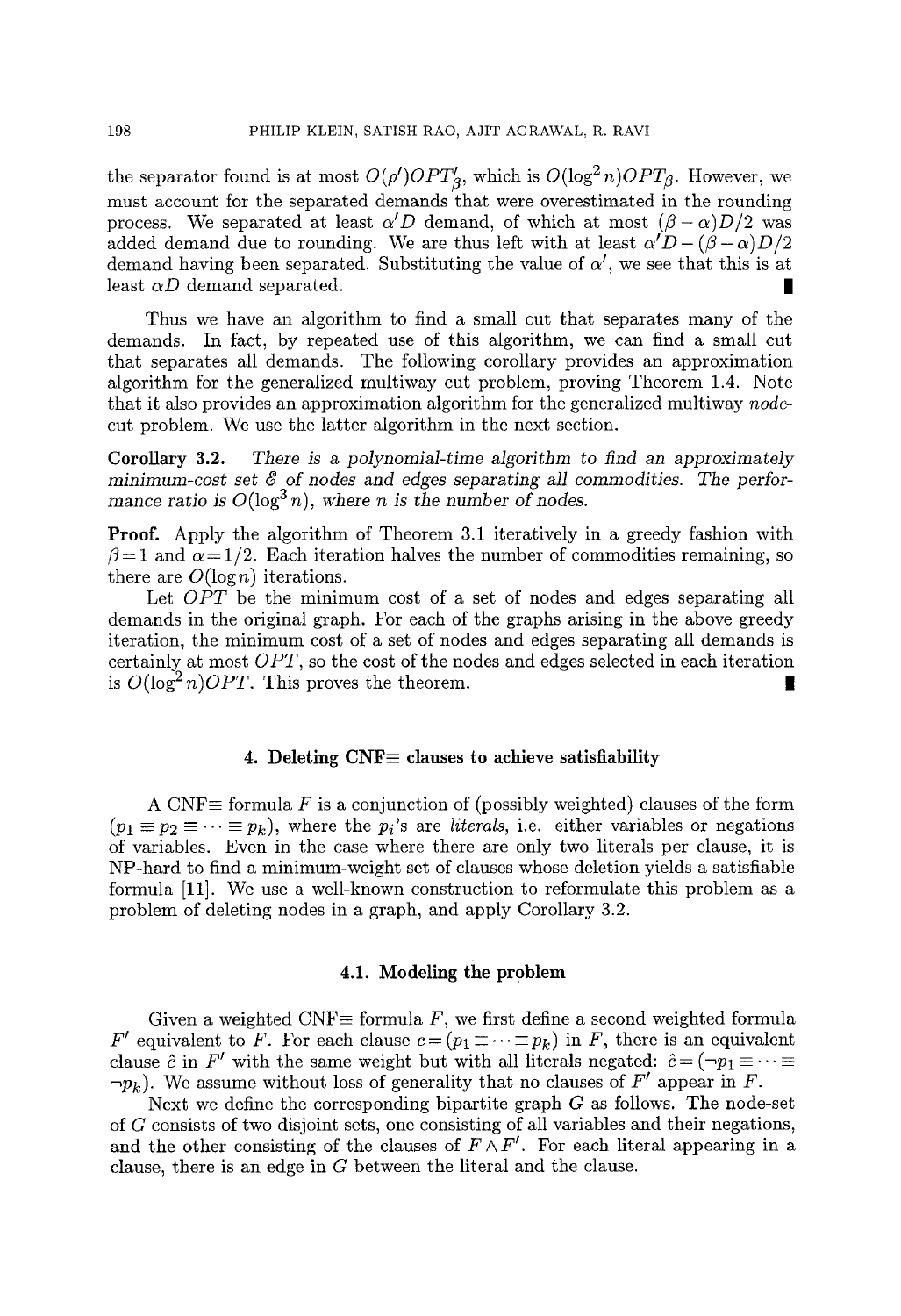the separator found is at most  $O(\rho')OPT'_{\beta}$ , which is  $O(\log^2 n)OPT_{\beta}$ . However, we must account for the separated demands that were overestimated in the rounding process. We separated at least  $\alpha'D$  demand, of which at most  $(\beta - \alpha)D/2$  was added demand due to rounding. We are thus left with at least  $\alpha' D - (\beta - \alpha)D/2$ demand having been separated. Substituting the value of  $\alpha'$ , we see that this is at least  $\alpha D$  demand separated.

Thus we have an algorithm to find a small cut that separates many of the demands. In fact, by repeated use of this algorithm, we can find a small cut that separates all demands. The following corollary provides an approximation algorithm for the generalized multiway cut problem, proving Theorem 1.4. Note that it also provides an approximation algorithm for the generalized multiway *node*cut problem. We use the latter algorithm in the next section.

Corollary 3.2. *There is a polynomial-time algorithm to find an approximately minimum-cost set ~ of* nodes *and* edges *separating MI commodities. The* performance ratio is  $O(\log^3 n)$ , where *n* is the number of nodes.

Proof. Apply the algorithm of Theorem 3.1 iteratively in a greedy fashion with  $\beta = 1$  and  $\alpha = 1/2$ . Each iteration halves the number of commodities remaining, so there are  $O(\log n)$  iterations.

Let *OPT* be the minimum cost of a set of nodes and edges separating all demands in the original graph. For each of the graphs arising in the above greedy iteration, the minimum cost of a set of nodes and edges separating all demands is certainly at most *OPT,* so the cost of the nodes and edges selected in each iteration is  $O(\log^2 n)$ *OPT*. This proves the theorem.

#### 4. Deleting  $CNF \equiv$  clauses to achieve satisfiability

A CNF $\equiv$  formula F is a conjunction of (possibly weighted) clauses of the form  $(p_1 \equiv p_2 \equiv \cdots \equiv p_k)$ , where the  $p_i$ 's are *literals*, i.e. either variables or negations of variables. Even in the case where there are only two literals per clause, it is NP-hard to find a minimum-weight set of clauses whose deletion yields a satisfiable formula [11]. We use a well-known construction to reformulate this problem as a problem of deleting nodes in a graph, and apply Corollary 3.2.

### 4.1. **Modeling the** problem

Given a weighted CNF $\equiv$  formula F, we first define a second weighted formula *F'* equivalent to *F*. For each clause  $c = (p_1 \equiv \cdots \equiv p_k)$  in *F*, there is an equivalent clause  $\hat{c}$  in  $F'$  with the same weight but with all literals negated:  $\hat{c} = (\neg p_1 \equiv \cdots \equiv$  $\neg p_k$ ). We assume without loss of generality that no clauses of F' appear in F.

Next we define the corresponding bipartite graph  $G$  as follows. The node-set of G consists of two disjoint sets, one consisting of all variables and their negations, and the other consisting of the clauses of  $F \wedge F'$ . For each literal appearing in a clause, there is an edge in G between the literal and the clause.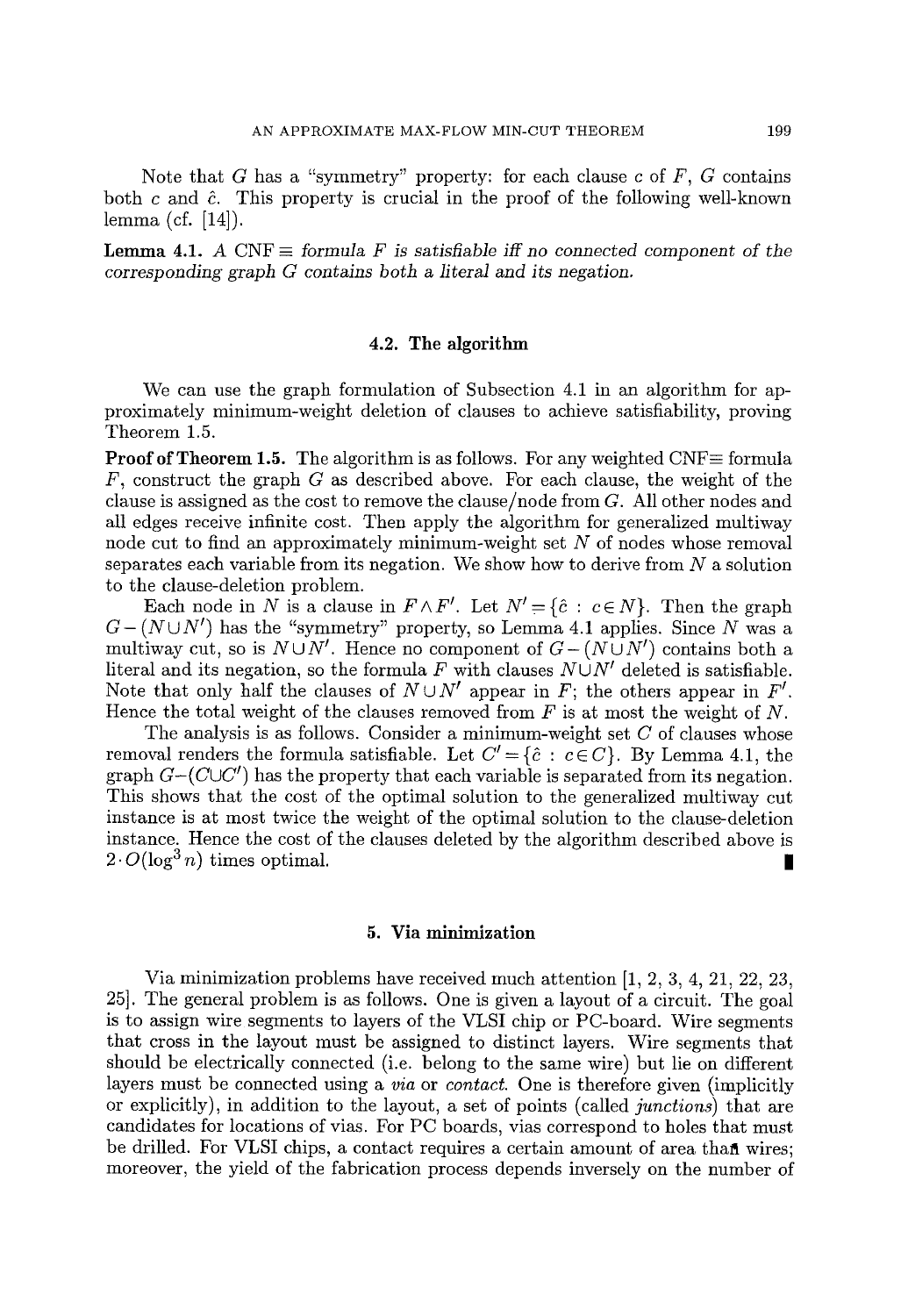Note that G has a "symmetry" property: for each clause  $c$  of  $F$ ,  $G$  contains both c and  $\hat{c}$ . This property is crucial in the proof of the following well-known lemma (cf. [14]).

**Lemma 4.1.** A CNF  $\equiv$  *formula F is satisfiable iff no connected component of the corresponding graph G contains both a literal and its negation.* 

## 4.2. The algorithm

We can use the graph formulation of Subsection 4.1 in an algorithm for approximately minimum-weight deletion of clauses to achieve satisfiability, proving Theorem 1.5.

**Proof of Theorem 1.5.** The algorithm is as follows. For any weighted  $CNF \equiv$  formula  $F$ , construct the graph G as described above. For each clause, the weight of the clause is assigned as the cost to remove the clause/node from G. All other nodes and all edges receive infinite cost. Then apply the algorithm for generalized multiway node cut to find an approximately minimum-weight set  $N$  of nodes whose removal separates each variable from its negation. We show how to derive from  $N$  a solution to the clause-deletion problem.

Each node in N is a clause in  $F \wedge F'$ . Let  $N' = \{\hat{c} : c \in N\}$ . Then the graph  $G-(N\cup N')$  has the "symmetry" property, so Lemma 4.1 applies. Since N was a multiway cut, so is  $N \cup N'$ . Hence no component of  $G - (N \cup N')$  contains both a literal and its negation, so the formula F with clauses  $N \cup N'$  deleted is satisfiable. Note that only half the clauses of  $N \cup N'$  appear in F; the others appear in F'. Hence the total weight of the clauses removed from  $F$  is at most the weight of  $N$ .

The analysis is as follows. Consider a minimum-weight set  $C$  of clauses whose removal renders the formula satisfiable. Let  $C' = \{\hat{c} : c \in C\}$ . By Lemma 4.1, the graph  $G-(C\cup C')$  has the property that each variable is separated from its negation. This shows that the cost of the optimal solution to the generalized multiway cut instance is at most twice the weight of the optimal solution to the clause-deletion instance. Hence the cost of the clauses deleted by the algorithm described above is  $2 \cdot O(\log^3 n)$  times optimal.

## 5. Via minimization

Via minimization problems have received much attention [1, 2, 3, 4, 21, 22, 23, 25]. The general problem is as follows. One is given a layout of a circuit. The goal is to assign wire segments to layers of the VLSI chip or PC-board. Wire segments that cross in the layout must be assigned to distinct layers. Wire segments that should be electrically connected (i.e. belong to the same wire) but lie on different layers must be connected using a *via* or *contact.* One is therefore given (implicitly or explicitly), in addition to the layout, a set of points (called *junctions)* that are candidates for locations of vias. For PC boards, vias correspond to holes that must be drilled. For VLSI chips, a contact requires a certain amount of area that wires; moreover, the yield of the fabrication process depends inversely on the number of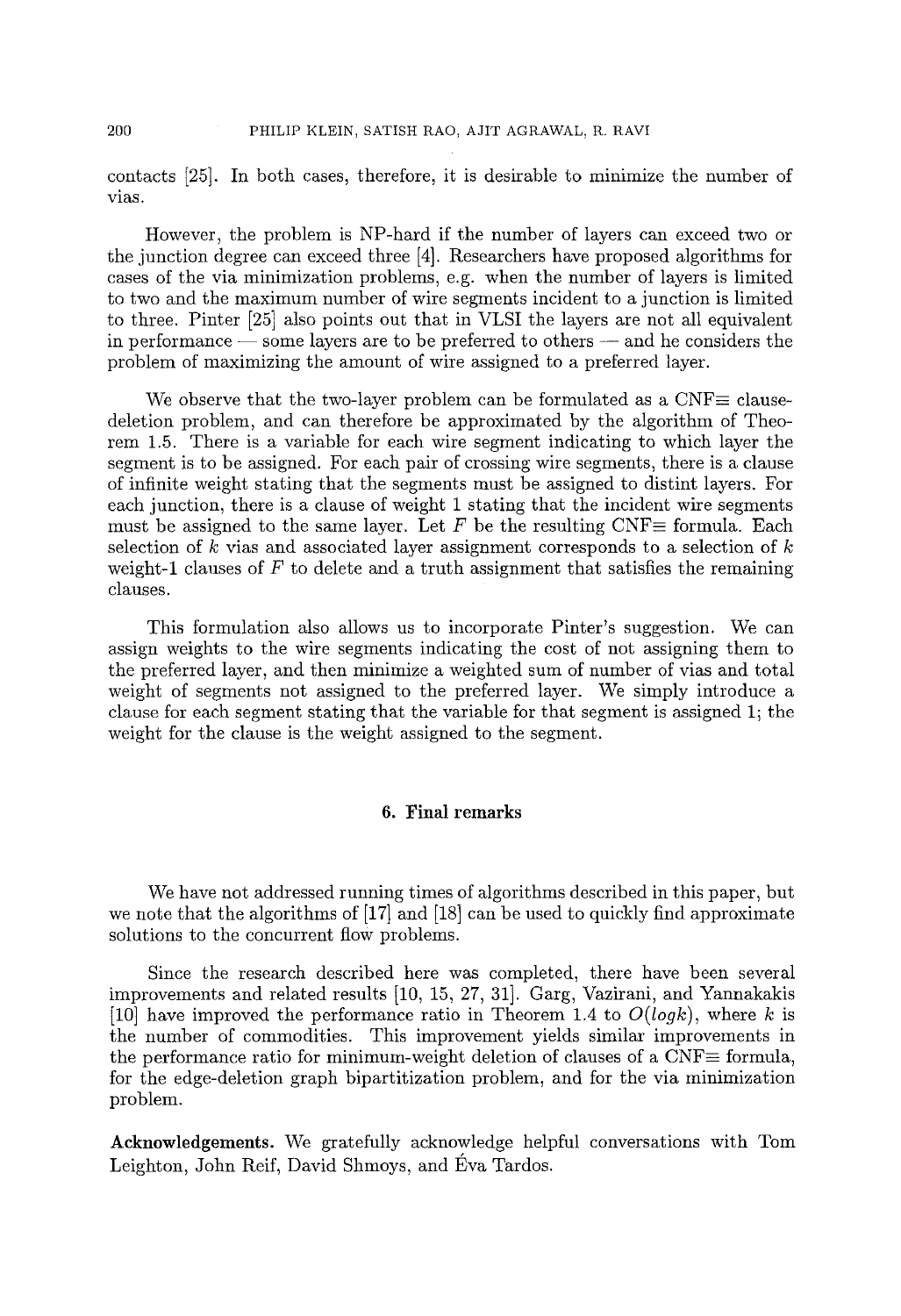contacts [25]. In both cases, therefore, it is desirable to minimize the number of vias.

However, the problem is NP-hard if the number of layers can exceed two or the junction degree can exceed three [4]. Researchers have proposed algorithms for cases of the via minimization problems, e.g. when the number of layers is limited to two and the maximum number of wire segments incident to a junction is limited to three. Pinter [25] also points out that in VLSI the layers are not all equivalent in performance  $\sim$  some layers are to be preferred to others  $\sim$  and he considers the problem of maximizing the amount of wire assigned to a preferred layer.

We observe that the two-layer problem can be formulated as a  $CNF\equiv$  clausedeletion problem, and can therefore be approximated by the algorithm of Theorem 1.5. There is a variable for each wire segment indicating to which layer the segment is to be assigned. For each pair of crossing wire segments, there is a clause of infinite weight stating that the segments must be assigned to distint layers. For each junction, there is a clause of weight 1 stating that the incident wire segments must be assigned to the same layer. Let F be the resulting CNF $\equiv$  formula. Each selection of k vias and associated layer assignment corresponds to a selection of  $k$ weight-1 clauses of  $F$  to delete and a truth assignment that satisfies the remaining clauses.

This formulation also allows us to incorporate Pinter's suggestion. We can assign weights to the wire segments indicating the cost of not assigning them to the preferred layer, and then minimize a weighted sum of number of vias and total weight of segments not assigned to the preferred layer. We simply introduce a clause for each segment stating that the variable for that segment is assigned 1; the weight for the clause is the weight assigned to the segment.

### **6. Final remarks**

We have not addressed running times of algorithms described in this paper, but we note that the algorithms of [17] and [18] can be used to quickly find approximate solutions to the concurrent flow problems.

Since the research described here was completed, there have been several improvements and related results [10, 15, 27, 31]. Garg, Vazirani, and Yannakakis [10] have improved the performance ratio in Theorem 1.4 to *O(logk),* where k is the number of commodities. This improvement yields similar improvements in the performance ratio for minimum-weight deletion of clauses of a CNF $\equiv$  formula, for the edge-deletion graph bipartitization problem, and for the via minimization problem.

Acknowledgements. We gratefully acknowledge helpful conversations with Tom Leighton, John Reif, David Shmoys, and Éva Tardos.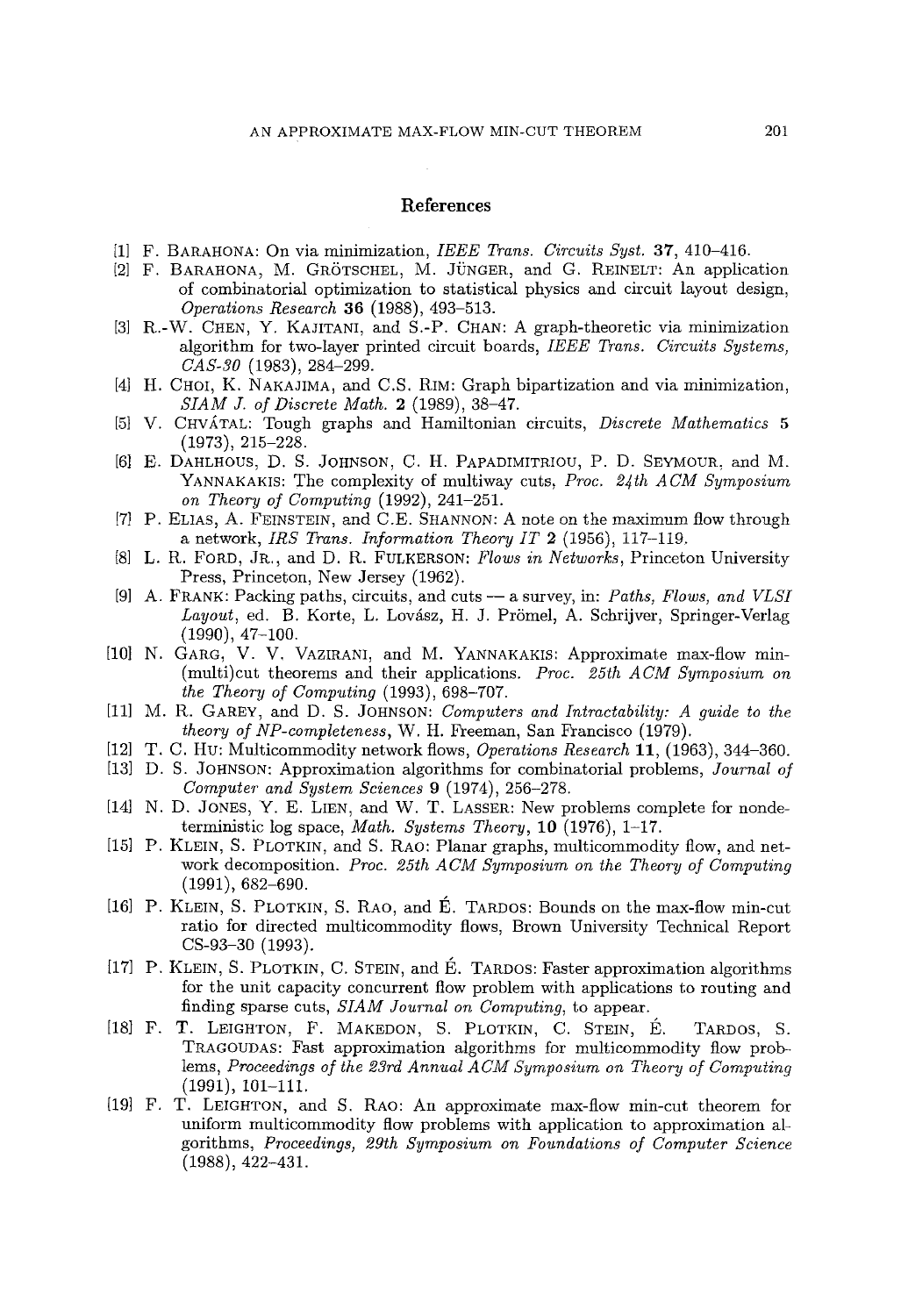#### **References**

- **[1] F.** BARAHONA: On via minimization, *IEEE Trans. Circuits Syst. 37,* 410-416.
- [2] F. BARAHONA, M. GRÖTSCHEL, M. JÜNGER, and G. REINELT: An application of combinatorial optimization to statistical physics and circuit layout design, *Operations Research* 36 (1988), 493-513.
- [3] R.-W. CHEN, Y. KAJITANI, and S.-P. CHAN: A graph-theoretic via minimization algorithm for two-layer printed circuit boards, *IEEE Trans. Circuits Systems, CAS-30* (1983), 284-299.
- [4] H. CHOI, K. NAKAJIMA, and C.S. RIM: Graph bipartization and via minimization, *SIAM J. of Discrete Math.* 2 (1989), 38-47.
- [5] V. CHVATAL: Tough graphs and Hamiltonian circuits, *Discrete Mathematics 5*  (1973), 215-228.
- [6] E. DAHLHOUS, D. S. JOHNSON, C. H. PAPADIMITRIOU, P. D. SEYMOUR, and M. YANNAKAKIS: The complexity of multiway cuts, *Proc. 24th ACM Symposium on Theory of Computing* (1992), 241-251.
- [7] P. ELIAS, A. FEINSTEIN, and C.E. SHANNON: A note on the maximum flow through a network, *IRS Trans. Information Theory IT* 2 (1956), 117-119.
- [8] L. R. FORD, JR., and D. R. FULKERSON: *Flows in Networks,* Princeton University Press, Princeton, New Jersey (1962).
- [9] A. FRANK: Packing paths, circuits, and cuts -- a survey, in: *Paths, Flows, and VLSI Layout, ed. B. Korte, L. Lovász, H. J. Prömel, A. Schrijver, Springer-Verlag* (1990), 47-100.
- [10] N. GARG, V. V. VAZIRANI, and M. YANNAKAKIS: Approximate max-flow min-(multi)cut theorems and their applications. *Proc. 25th ACM Symposium on the Theory of Computing* (1993), 698-707.
- [11] M. R. GAREY, and D. S. JOHNSON: *Computers and Intractability: A guide to the theory of NP-eompleteness,* W. H. Freeman, San Francisco (1979).
- [12] T. C. Hu: Multicommodity network flows, *Operations Research* 11, (1963), 344-360.
- [13] D. S. JOHNSON: Approximation algorithms for combinatorial problems, *Journal of Computer and System Sciences* 9 (1974), 256-278.
- [14] N. D. JONES, Y. E. LIEN, and W. T. LASSER: New problems complete for nondeterministic log space, *Math. Systems Theory,* 10 (1976), 1-17.
- [15] P. KLEIN, S. PLOTKIN, and S. RAO: Planar graphs, multicommodity flow, and network decomposition. *Proc. 25th ACM Symposium on the Theory of Computing*  (1991), 682-690.
- [16] P. KLEIN, S. PLOTKIN, S. RAO, and É. TARDOS: Bounds on the max-flow min-cut ratio for directed multicommodity flows, Brown University Technical Report CS-93-30 (1993).
- [17] P. KLEIN, S. PLOTKIN, C. STEIN, and E. TARDOS: Faster approximation algorithms for the unit capacity concurrent flow problem with applications to routing and finding sparse cuts, *SIAM Journal on Computing,* to appear.
- [18] F. T. LEIGHTON, F. MAKEDON, S. PLOTKIN, C. STEIN, É. TARDOS, S. TRAGOUDAS: Fast approximation algorithms for multicommodity flow problems, *Proceedings of the 23rd Annual ACM Symposium on Theory of Computing*  (1991), 191-111.
- [19] F. T. LEIGHTON, and S. RAO: An approximate max-flow rain-cut theorem for uniform multicommodity flow problems with application to approximation algorithms, *Proceedings, 29th Symposium on Foundations of Computer Science*  (1988), 422-431.